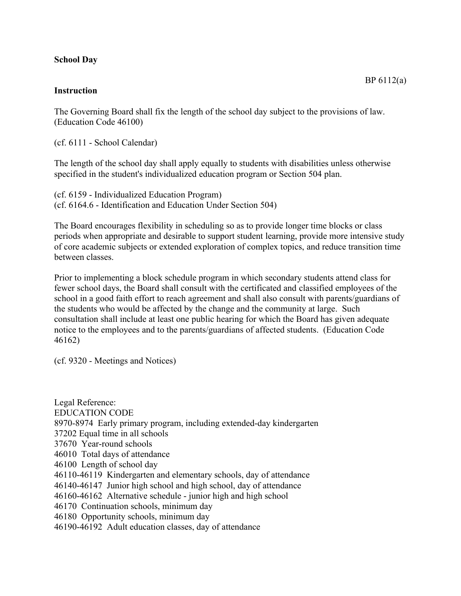## **School Day**

## **Instruction**

The Governing Board shall fix the length of the school day subject to the provisions of law. (Education Code 46100)

(cf. 6111 - School Calendar)

The length of the school day shall apply equally to students with disabilities unless otherwise specified in the student's individualized education program or Section 504 plan.

(cf. 6159 - Individualized Education Program) (cf. 6164.6 - Identification and Education Under Section 504)

The Board encourages flexibility in scheduling so as to provide longer time blocks or class periods when appropriate and desirable to support student learning, provide more intensive study of core academic subjects or extended exploration of complex topics, and reduce transition time between classes.

Prior to implementing a block schedule program in which secondary students attend class for fewer school days, the Board shall consult with the certificated and classified employees of the school in a good faith effort to reach agreement and shall also consult with parents/guardians of the students who would be affected by the change and the community at large. Such consultation shall include at least one public hearing for which the Board has given adequate notice to the employees and to the parents/guardians of affected students. (Education Code 46162)

(cf. 9320 - Meetings and Notices)

Legal Reference: EDUCATION CODE 8970-8974 Early primary program, including extended-day kindergarten 37202 Equal time in all schools 37670 Year-round schools 46010 Total days of attendance 46100 Length of school day 46110-46119 Kindergarten and elementary schools, day of attendance 46140-46147 Junior high school and high school, day of attendance 46160-46162 Alternative schedule - junior high and high school 46170 Continuation schools, minimum day 46180 Opportunity schools, minimum day 46190-46192 Adult education classes, day of attendance